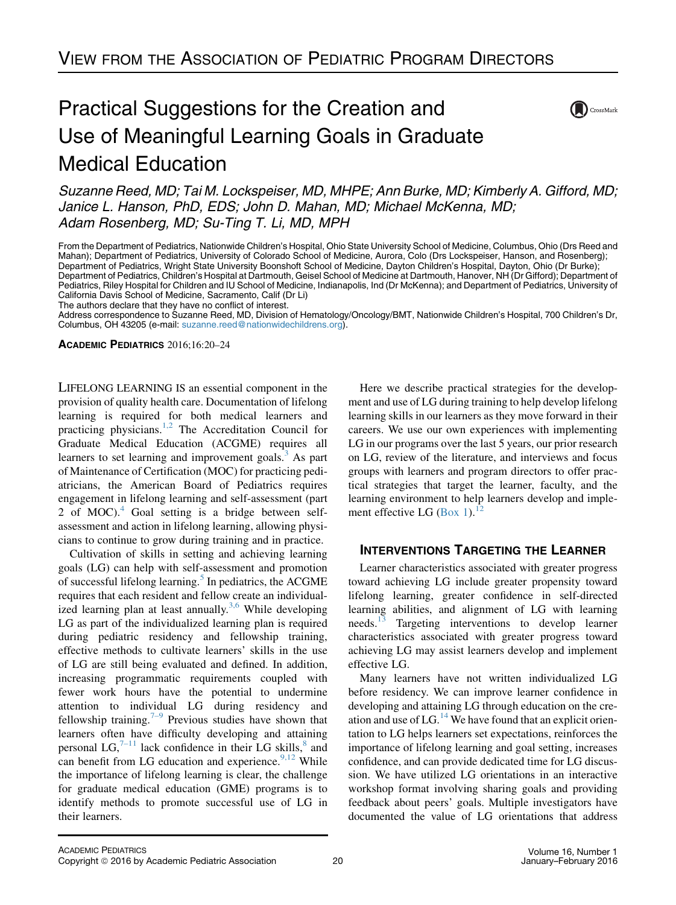$\sum$ CrossMark

# Practical Suggestions for the Creation and Use of Meaningful Learning Goals in Graduate Medical Education

Suzanne Reed, MD; Tai M. Lockspeiser, MD, MHPE; Ann Burke, MD; Kimberly A. Gifford, MD; Janice L. Hanson, PhD, EDS; John D. Mahan, MD; Michael McKenna, MD; Adam Rosenberg, MD; Su-Ting T. Li, MD, MPH

From the Department of Pediatrics, Nationwide Children's Hospital, Ohio State University School of Medicine, Columbus, Ohio (Drs Reed and Mahan); Department of Pediatrics, University of Colorado School of Medicine, Aurora, Colo (Drs Lockspeiser, Hanson, and Rosenberg); Department of Pediatrics, Wright State University Boonshoft School of Medicine, Dayton Children's Hospital, Dayton, Ohio (Dr Burke); Department of Pediatrics, Children's Hospital at Dartmouth, Geisel School of Medicine at Dartmouth, Hanover, NH (Dr Gifford); Department of Pediatrics, Riley Hospital for Children and IU School of Medicine, Indianapolis, Ind (Dr McKenna); and Department of Pediatrics, University of California Davis School of Medicine, Sacramento, Calif (Dr Li)

The authors declare that they have no conflict of interest.

Address correspondence to Suzanne Reed, MD, Division of Hematology/Oncology/BMT, Nationwide Children's Hospital, 700 Children's Dr, Columbus, OH 43205 (e-mail: [suzanne.reed@nationwidechildrens.org](mailto:suzanne.reed@nationwidechildrens.org)).

ACADEMIC PEDIATRICS 2016;16:20–24

LIFELONG LEARNING IS an essential component in the provision of quality health care. Documentation of lifelong learning is required for both medical learners and practicing physicians.<sup>[1,2](#page-4-0)</sup> The Accreditation Council for Graduate Medical Education (ACGME) requires all learners to set learning and improvement goals. $3$  As part of Maintenance of Certification (MOC) for practicing pediatricians, the American Board of Pediatrics requires engagement in lifelong learning and self-assessment (part 2 of MOC). $4$  Goal setting is a bridge between selfassessment and action in lifelong learning, allowing physicians to continue to grow during training and in practice.

Cultivation of skills in setting and achieving learning goals (LG) can help with self-assessment and promotion of successful lifelong learning.<sup>[5](#page-4-0)</sup> In pediatrics, the ACGME requires that each resident and fellow create an individualized learning plan at least annually. $3,6$  While developing LG as part of the individualized learning plan is required during pediatric residency and fellowship training, effective methods to cultivate learners' skills in the use of LG are still being evaluated and defined. In addition, increasing programmatic requirements coupled with fewer work hours have the potential to undermine attention to individual LG during residency and fellowship training.<sup>[7–9](#page-4-0)</sup> Previous studies have shown that learners often have difficulty developing and attaining personal LG, $^{7-11}$  lack confidence in their LG skills, $^8$  $^8$  and can benefit from LG education and experience. <sup>[9,12](#page-4-0)</sup> While the importance of lifelong learning is clear, the challenge for graduate medical education (GME) programs is to identify methods to promote successful use of LG in their learners.

Here we describe practical strategies for the development and use of LG during training to help develop lifelong learning skills in our learners as they move forward in their careers. We use our own experiences with implementing LG in our programs over the last 5 years, our prior research on LG, review of the literature, and interviews and focus groups with learners and program directors to offer practical strategies that target the learner, faculty, and the learning environment to help learners develop and implement effective LG  $(Box 1)^{12}$  $(Box 1)^{12}$  $(Box 1)^{12}$ 

### INTERVENTIONS TARGETING THE LEARNER

Learner characteristics associated with greater progress toward achieving LG include greater propensity toward lifelong learning, greater confidence in self-directed learning abilities, and alignment of LG with learning needs.<sup>[13](#page-4-0)</sup> Targeting interventions to develop learner characteristics associated with greater progress toward achieving LG may assist learners develop and implement effective LG.

Many learners have not written individualized LG before residency. We can improve learner confidence in developing and attaining LG through education on the creation and use of  $LG$ .<sup>[14](#page-4-0)</sup> We have found that an explicit orientation to LG helps learners set expectations, reinforces the importance of lifelong learning and goal setting, increases confidence, and can provide dedicated time for LG discussion. We have utilized LG orientations in an interactive workshop format involving sharing goals and providing feedback about peers' goals. Multiple investigators have documented the value of LG orientations that address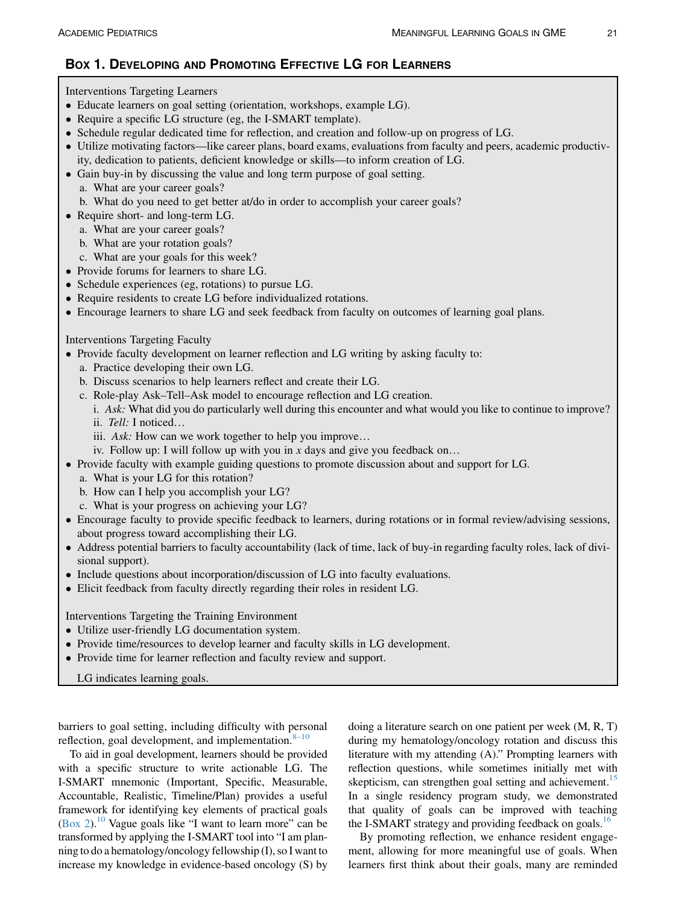## BOX 1. DEVELOPING AND PROMOTING EFFECTIVE LG FOR LEARNERS

Interventions Targeting Learners

- Educate learners on goal setting (orientation, workshops, example LG).
- Require a specific LG structure (eg, the I-SMART template).
- Schedule regular dedicated time for reflection, and creation and follow-up on progress of LG.
- Utilize motivating factors—like career plans, board exams, evaluations from faculty and peers, academic productivity, dedication to patients, deficient knowledge or skills—to inform creation of LG.
- Gain buy-in by discussing the value and long term purpose of goal setting.
	- a. What are your career goals?
	- b. What do you need to get better at/do in order to accomplish your career goals?
- Require short- and long-term LG.
	- a. What are your career goals?
	- b. What are your rotation goals?
	- c. What are your goals for this week?
- Provide forums for learners to share LG.
- Schedule experiences (eg, rotations) to pursue LG.
- Require residents to create LG before individualized rotations.
- Encourage learners to share LG and seek feedback from faculty on outcomes of learning goal plans.

#### Interventions Targeting Faculty

- Provide faculty development on learner reflection and LG writing by asking faculty to:
	- a. Practice developing their own LG.
	- b. Discuss scenarios to help learners reflect and create their LG.
	- c. Role-play Ask–Tell–Ask model to encourage reflection and LG creation.
		- i. Ask: What did you do particularly well during this encounter and what would you like to continue to improve? ii. Tell: I noticed...
		- iii. Ask: How can we work together to help you improve...
	- iv. Follow up: I will follow up with you in  $x$  days and give you feedback on...
- Provide faculty with example guiding questions to promote discussion about and support for LG.
	- a. What is your LG for this rotation?
	- b. How can I help you accomplish your LG?
	- c. What is your progress on achieving your LG?
- Encourage faculty to provide specific feedback to learners, during rotations or in formal review/advising sessions, about progress toward accomplishing their LG.
- Address potential barriers to faculty accountability (lack of time, lack of buy-in regarding faculty roles, lack of divisional support).
- Include questions about incorporation/discussion of LG into faculty evaluations.
- Elicit feedback from faculty directly regarding their roles in resident LG.

Interventions Targeting the Training Environment

- Utilize user-friendly LG documentation system.
- Provide time/resources to develop learner and faculty skills in LG development.
- Provide time for learner reflection and faculty review and support.
	- LG indicates learning goals.

barriers to goal setting, including difficulty with personal reflection, goal development, and implementation. $8-10$ 

To aid in goal development, learners should be provided with a specific structure to write actionable LG. The I-SMART mnemonic (Important, Specific, Measurable, Accountable, Realistic, Timeline/Plan) provides a useful framework for identifying key elements of practical goals  $(Box 2)$ .<sup>[10](#page-4-0)</sup> Vague goals like "I want to learn more" can be transformed by applying the I-SMART tool into "I am planning to do a hematology/oncology fellowship (I), so I want to increase my knowledge in evidence-based oncology (S) by

doing a literature search on one patient per week (M, R, T) during my hematology/oncology rotation and discuss this literature with my attending (A)." Prompting learners with reflection questions, while sometimes initially met with skepticism, can strengthen goal setting and achievement.<sup>15</sup> In a single residency program study, we demonstrated that quality of goals can be improved with teaching the I-SMART strategy and providing feedback on goals.<sup>[16](#page-4-0)</sup>

By promoting reflection, we enhance resident engagement, allowing for more meaningful use of goals. When learners first think about their goals, many are reminded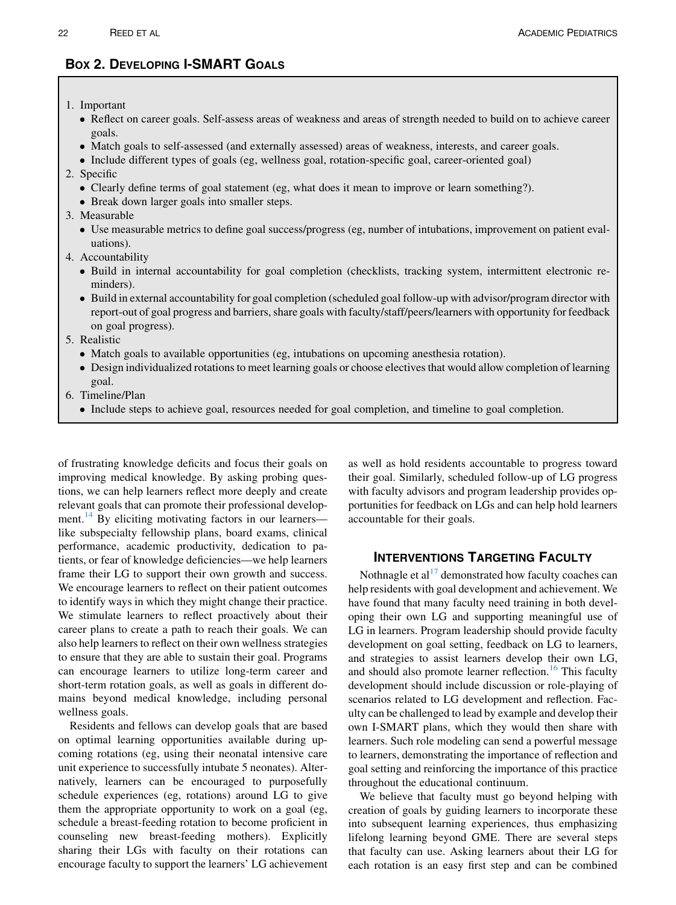# BOX 2. DEVELOPING I-SMART GOALS

- 1. Important
	- Reflect on career goals. Self-assess areas of weakness and areas of strength needed to build on to achieve career goals.
	- Match goals to self-assessed (and externally assessed) areas of weakness, interests, and career goals.
	- Include different types of goals (eg, wellness goal, rotation-specific goal, career-oriented goal)
- 2. Specific
	- Clearly define terms of goal statement (eg, what does it mean to improve or learn something?).
	- Break down larger goals into smaller steps.
- 3. Measurable
	- Use measurable metrics to define goal success/progress (eg, number of intubations, improvement on patient evaluations).
- 4. Accountability
	- Build in internal accountability for goal completion (checklists, tracking system, intermittent electronic reminders).
	- Build in external accountability for goal completion (scheduled goal follow-up with advisor/program director with report-out of goal progress and barriers, share goals with faculty/staff/peers/learners with opportunity for feedback on goal progress).
- 5. Realistic
	- Match goals to available opportunities (eg, intubations on upcoming anesthesia rotation).
	- Design individualized rotations to meet learning goals or choose electives that would allow completion of learning goal.
- 6. Timeline/Plan
- Include steps to achieve goal, resources needed for goal completion, and timeline to goal completion.

of frustrating knowledge deficits and focus their goals on improving medical knowledge. By asking probing questions, we can help learners reflect more deeply and create relevant goals that can promote their professional develop-ment.<sup>[14](#page-4-0)</sup> By eliciting motivating factors in our learners like subspecialty fellowship plans, board exams, clinical performance, academic productivity, dedication to patients, or fear of knowledge deficiencies—we help learners frame their LG to support their own growth and success. We encourage learners to reflect on their patient outcomes to identify ways in which they might change their practice. We stimulate learners to reflect proactively about their career plans to create a path to reach their goals. We can also help learners to reflect on their own wellness strategies to ensure that they are able to sustain their goal. Programs can encourage learners to utilize long-term career and short-term rotation goals, as well as goals in different domains beyond medical knowledge, including personal wellness goals.

Residents and fellows can develop goals that are based on optimal learning opportunities available during upcoming rotations (eg, using their neonatal intensive care unit experience to successfully intubate 5 neonates). Alternatively, learners can be encouraged to purposefully schedule experiences (eg, rotations) around LG to give them the appropriate opportunity to work on a goal (eg, schedule a breast-feeding rotation to become proficient in counseling new breast-feeding mothers). Explicitly sharing their LGs with faculty on their rotations can encourage faculty to support the learners' LG achievement as well as hold residents accountable to progress toward their goal. Similarly, scheduled follow-up of LG progress with faculty advisors and program leadership provides opportunities for feedback on LGs and can help hold learners accountable for their goals.

## INTERVENTIONS TARGETING FACULTY

Nothnagle et  $al<sup>17</sup>$  $al<sup>17</sup>$  $al<sup>17</sup>$  demonstrated how faculty coaches can help residents with goal development and achievement. We have found that many faculty need training in both developing their own LG and supporting meaningful use of LG in learners. Program leadership should provide faculty development on goal setting, feedback on LG to learners, and strategies to assist learners develop their own LG, and should also promote learner reflection.<sup>[16](#page-4-0)</sup> This faculty development should include discussion or role-playing of scenarios related to LG development and reflection. Faculty can be challenged to lead by example and develop their own I-SMART plans, which they would then share with learners. Such role modeling can send a powerful message to learners, demonstrating the importance of reflection and goal setting and reinforcing the importance of this practice throughout the educational continuum.

We believe that faculty must go beyond helping with creation of goals by guiding learners to incorporate these into subsequent learning experiences, thus emphasizing lifelong learning beyond GME. There are several steps that faculty can use. Asking learners about their LG for each rotation is an easy first step and can be combined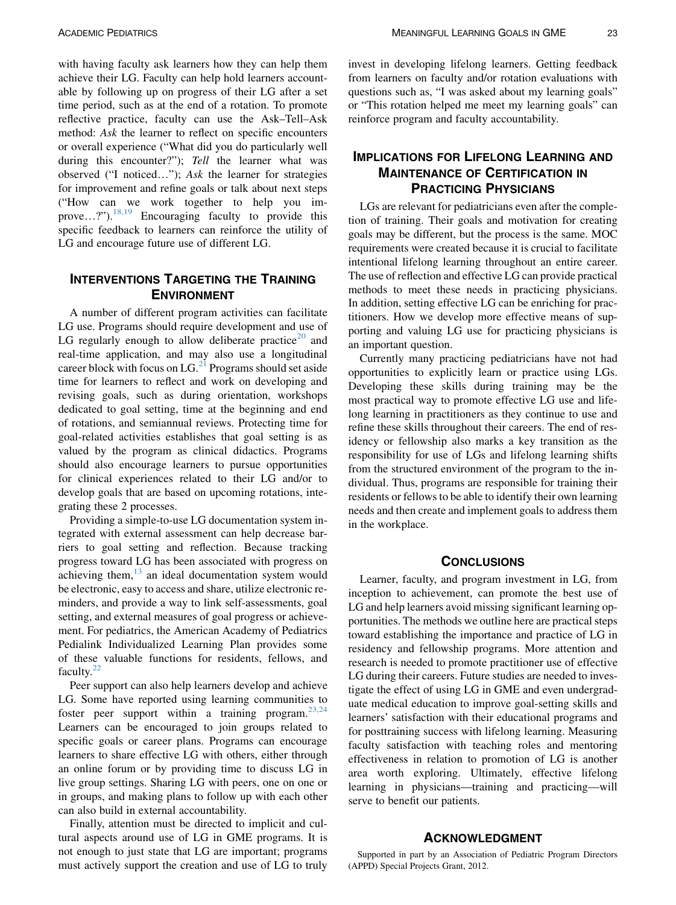with having faculty ask learners how they can help them achieve their LG. Faculty can help hold learners accountable by following up on progress of their LG after a set time period, such as at the end of a rotation. To promote reflective practice, faculty can use the Ask–Tell–Ask method: Ask the learner to reflect on specific encounters or overall experience ("What did you do particularly well during this encounter?"); Tell the learner what was observed ("I noticed..."); Ask the learner for strategies for improvement and refine goals or talk about next steps ("How can we work together to help you im-prove...?").<sup>[18,19](#page-4-0)</sup> Encouraging faculty to provide this specific feedback to learners can reinforce the utility of LG and encourage future use of different LG.

## INTERVENTIONS TARGETING THE TRAINING ENVIRONMENT

A number of different program activities can facilitate LG use. Programs should require development and use of LG regularly enough to allow deliberate practice<sup>[20](#page-4-0)</sup> and real-time application, and may also use a longitudinal career block with focus on LG.<sup>[21](#page-4-0)</sup> Programs should set aside time for learners to reflect and work on developing and revising goals, such as during orientation, workshops dedicated to goal setting, time at the beginning and end of rotations, and semiannual reviews. Protecting time for goal-related activities establishes that goal setting is as valued by the program as clinical didactics. Programs should also encourage learners to pursue opportunities for clinical experiences related to their LG and/or to develop goals that are based on upcoming rotations, integrating these 2 processes.

Providing a simple-to-use LG documentation system integrated with external assessment can help decrease barriers to goal setting and reflection. Because tracking progress toward LG has been associated with progress on achieving them, $13$  an ideal documentation system would be electronic, easy to access and share, utilize electronic reminders, and provide a way to link self-assessments, goal setting, and external measures of goal progress or achievement. For pediatrics, the American Academy of Pediatrics Pedialink Individualized Learning Plan provides some of these valuable functions for residents, fellows, and faculty. $^{22}$  $^{22}$  $^{22}$ 

Peer support can also help learners develop and achieve LG. Some have reported using learning communities to foster peer support within a training program.  $23,24$ Learners can be encouraged to join groups related to specific goals or career plans. Programs can encourage learners to share effective LG with others, either through an online forum or by providing time to discuss LG in live group settings. Sharing LG with peers, one on one or in groups, and making plans to follow up with each other can also build in external accountability.

Finally, attention must be directed to implicit and cultural aspects around use of LG in GME programs. It is not enough to just state that LG are important; programs must actively support the creation and use of LG to truly

invest in developing lifelong learners. Getting feedback from learners on faculty and/or rotation evaluations with questions such as, "I was asked about my learning goals" or "This rotation helped me meet my learning goals" can reinforce program and faculty accountability.

## IMPLICATIONS FOR LIFELONG LEARNING AND MAINTENANCE OF CERTIFICATION IN PRACTICING PHYSICIANS

LGs are relevant for pediatricians even after the completion of training. Their goals and motivation for creating goals may be different, but the process is the same. MOC requirements were created because it is crucial to facilitate intentional lifelong learning throughout an entire career. The use of reflection and effective LG can provide practical methods to meet these needs in practicing physicians. In addition, setting effective LG can be enriching for practitioners. How we develop more effective means of supporting and valuing LG use for practicing physicians is an important question.

Currently many practicing pediatricians have not had opportunities to explicitly learn or practice using LGs. Developing these skills during training may be the most practical way to promote effective LG use and lifelong learning in practitioners as they continue to use and refine these skills throughout their careers. The end of residency or fellowship also marks a key transition as the responsibility for use of LGs and lifelong learning shifts from the structured environment of the program to the individual. Thus, programs are responsible for training their residents or fellows to be able to identify their own learning needs and then create and implement goals to address them in the workplace.

#### **CONCLUSIONS**

Learner, faculty, and program investment in LG, from inception to achievement, can promote the best use of LG and help learners avoid missing significant learning opportunities. The methods we outline here are practical steps toward establishing the importance and practice of LG in residency and fellowship programs. More attention and research is needed to promote practitioner use of effective LG during their careers. Future studies are needed to investigate the effect of using LG in GME and even undergraduate medical education to improve goal-setting skills and learners' satisfaction with their educational programs and for posttraining success with lifelong learning. Measuring faculty satisfaction with teaching roles and mentoring effectiveness in relation to promotion of LG is another area worth exploring. Ultimately, effective lifelong learning in physicians—training and practicing—will serve to benefit our patients.

#### ACKNOWLEDGMENT

Supported in part by an Association of Pediatric Program Directors (APPD) Special Projects Grant, 2012.